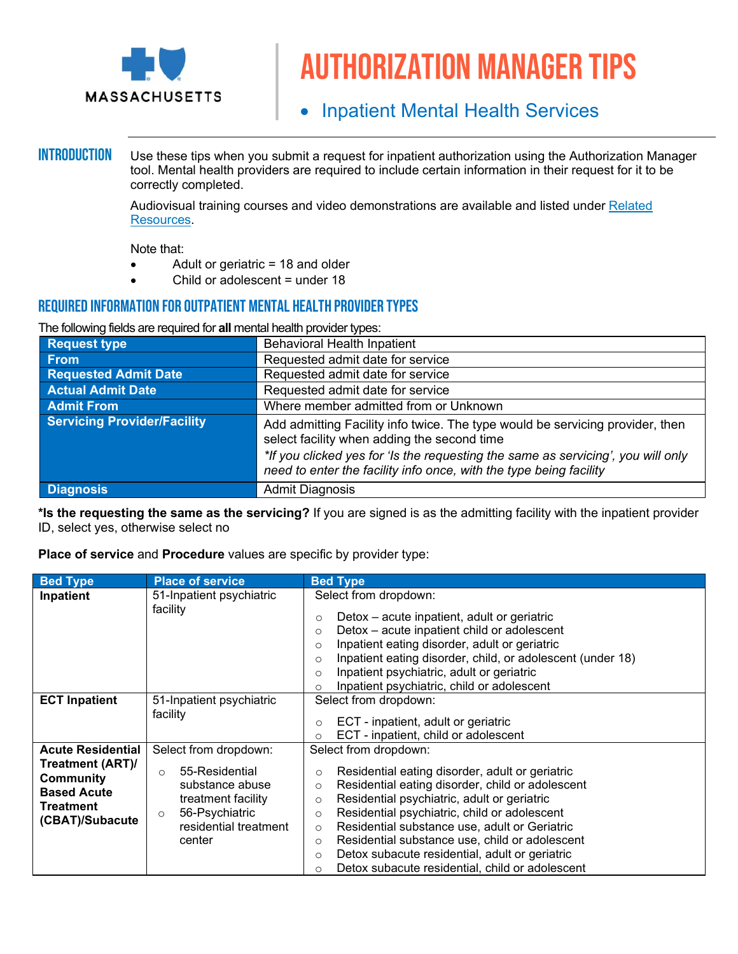

# Authorization manager tips

# • Inpatient Mental Health Services

**INTRODUCTION** Use these tips when you submit a request for inpatient authorization using the Authorization Manager tool. Mental health providers are required to include certain information in their request for it to be correctly completed.

> Audiovisual training courses and video demonstrations are available and listed under [Related](#page-1-0)  [Resources.](#page-1-0)

Note that:

- Adult or geriatric = 18 and older
- Child or adolescent = under 18

### REQUIRED INFORMATION FOR OUTPATIENT MENTAL HEALTH PROVIDER TYPES

The following fields are required for **all** mental health provider types:

| <b>Request type</b>                | <b>Behavioral Health Inpatient</b>                                                                                                                                                                                                                                                     |
|------------------------------------|----------------------------------------------------------------------------------------------------------------------------------------------------------------------------------------------------------------------------------------------------------------------------------------|
| <b>From</b>                        | Requested admit date for service                                                                                                                                                                                                                                                       |
| <b>Requested Admit Date</b>        | Requested admit date for service                                                                                                                                                                                                                                                       |
| <b>Actual Admit Date</b>           | Requested admit date for service                                                                                                                                                                                                                                                       |
| <b>Admit From</b>                  | Where member admitted from or Unknown                                                                                                                                                                                                                                                  |
| <b>Servicing Provider/Facility</b> | Add admitting Facility info twice. The type would be servicing provider, then<br>select facility when adding the second time<br>*If you clicked yes for 'Is the requesting the same as servicing', you will only<br>need to enter the facility info once, with the type being facility |
| <b>Diagnosis</b>                   | <b>Admit Diagnosis</b>                                                                                                                                                                                                                                                                 |

**\*Is the requesting the same as the servicing?** If you are signed is as the admitting facility with the inpatient provider ID, select yes, otherwise select no

**Place of service** and **Procedure** values are specific by provider type:

| <b>Bed Type</b>                                                                     | <b>Place of service</b>                                                                                                             | <b>Bed Type</b>                                                                                                                                                                                                                                                                                                                                                                                                                                                                                       |
|-------------------------------------------------------------------------------------|-------------------------------------------------------------------------------------------------------------------------------------|-------------------------------------------------------------------------------------------------------------------------------------------------------------------------------------------------------------------------------------------------------------------------------------------------------------------------------------------------------------------------------------------------------------------------------------------------------------------------------------------------------|
| Inpatient                                                                           | 51-Inpatient psychiatric                                                                                                            | Select from dropdown:                                                                                                                                                                                                                                                                                                                                                                                                                                                                                 |
|                                                                                     | facility                                                                                                                            | Detox – acute inpatient, adult or geriatric<br>$\circ$<br>Detox - acute inpatient child or adolescent<br>$\circ$<br>Inpatient eating disorder, adult or geriatric<br>$\Omega$<br>Inpatient eating disorder, child, or adolescent (under 18)<br>$\circ$<br>Inpatient psychiatric, adult or geriatric<br>$\Omega$<br>Inpatient psychiatric, child or adolescent<br>$\Omega$                                                                                                                             |
| <b>ECT Inpatient</b>                                                                | 51-Inpatient psychiatric                                                                                                            | Select from dropdown:                                                                                                                                                                                                                                                                                                                                                                                                                                                                                 |
|                                                                                     | facility                                                                                                                            | ECT - inpatient, adult or geriatric<br>$\Omega$<br>ECT - inpatient, child or adolescent<br>$\Omega$                                                                                                                                                                                                                                                                                                                                                                                                   |
| <b>Acute Residential</b>                                                            | Select from dropdown:                                                                                                               | Select from dropdown:                                                                                                                                                                                                                                                                                                                                                                                                                                                                                 |
| Treatment (ART)/<br>Community<br><b>Based Acute</b><br>Treatment<br>(CBAT)/Subacute | 55-Residential<br>$\Omega$<br>substance abuse<br>treatment facility<br>56-Psychiatric<br>$\circ$<br>residential treatment<br>center | Residential eating disorder, adult or geriatric<br>$\circ$<br>Residential eating disorder, child or adolescent<br>$\circ$<br>Residential psychiatric, adult or geriatric<br>$\circ$<br>Residential psychiatric, child or adolescent<br>$\Omega$<br>Residential substance use, adult or Geriatric<br>$\Omega$<br>Residential substance use, child or adolescent<br>$\circ$<br>Detox subacute residential, adult or geriatric<br>$\circ$<br>Detox subacute residential, child or adolescent<br>$\Omega$ |